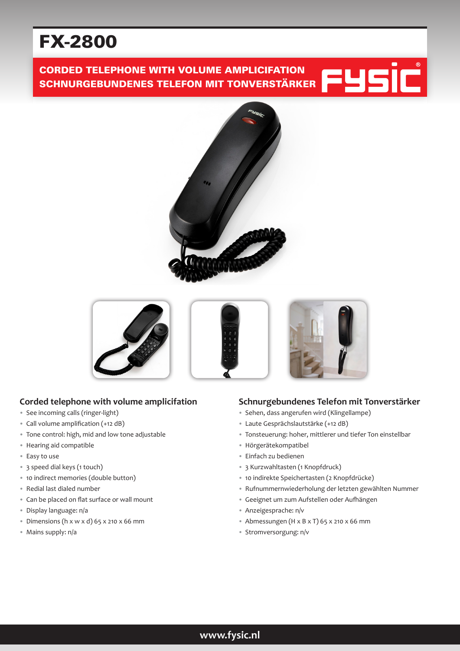# FX-2800

# CORDED TELEPHONE WITH VOLUME AMPLICIFATION SCHNURGEBUNDENES TELEFON MIT TONVERSTÄRKER







# **Corded telephone with volume amplicifation**

- See incoming calls (ringer-light)
- Call volume amplification (+12 dB)
- Tone control: high, mid and low tone adjustable
- Hearing aid compatible
- Easy to use
- 3 speed dial keys (1 touch)
- 10 indirect memories (double button)
- Redial last dialed number
- Can be placed on flat surface or wall mount
- Display language: n/a
- Dimensions (h x w x d) 65 x 210 x 66 mm
- Mains supply: n/a

## **Schnurgebundenes Telefon mit Tonverstärker**

- Sehen, dass angerufen wird (Klingellampe)
- Laute Gesprächslautstärke (+12 dB)
- Tonsteuerung: hoher, mittlerer und tiefer Ton einstellbar
- Hörgerätekompatibel
- Einfach zu bedienen
- 3 Kurzwahltasten (1 Knopfdruck)
- 10 indirekte Speichertasten (2 Knopfdrücke)
- Rufnummernwiederholung der letzten gewählten Nummer
- Geeignet um zum Aufstellen oder Aufhängen
- Anzeigesprache: n/v
- Abmessungen (H x B x T) 65 x 210 x 66 mm
- Stromversorgung: n/v

# **www.fysic.nl**